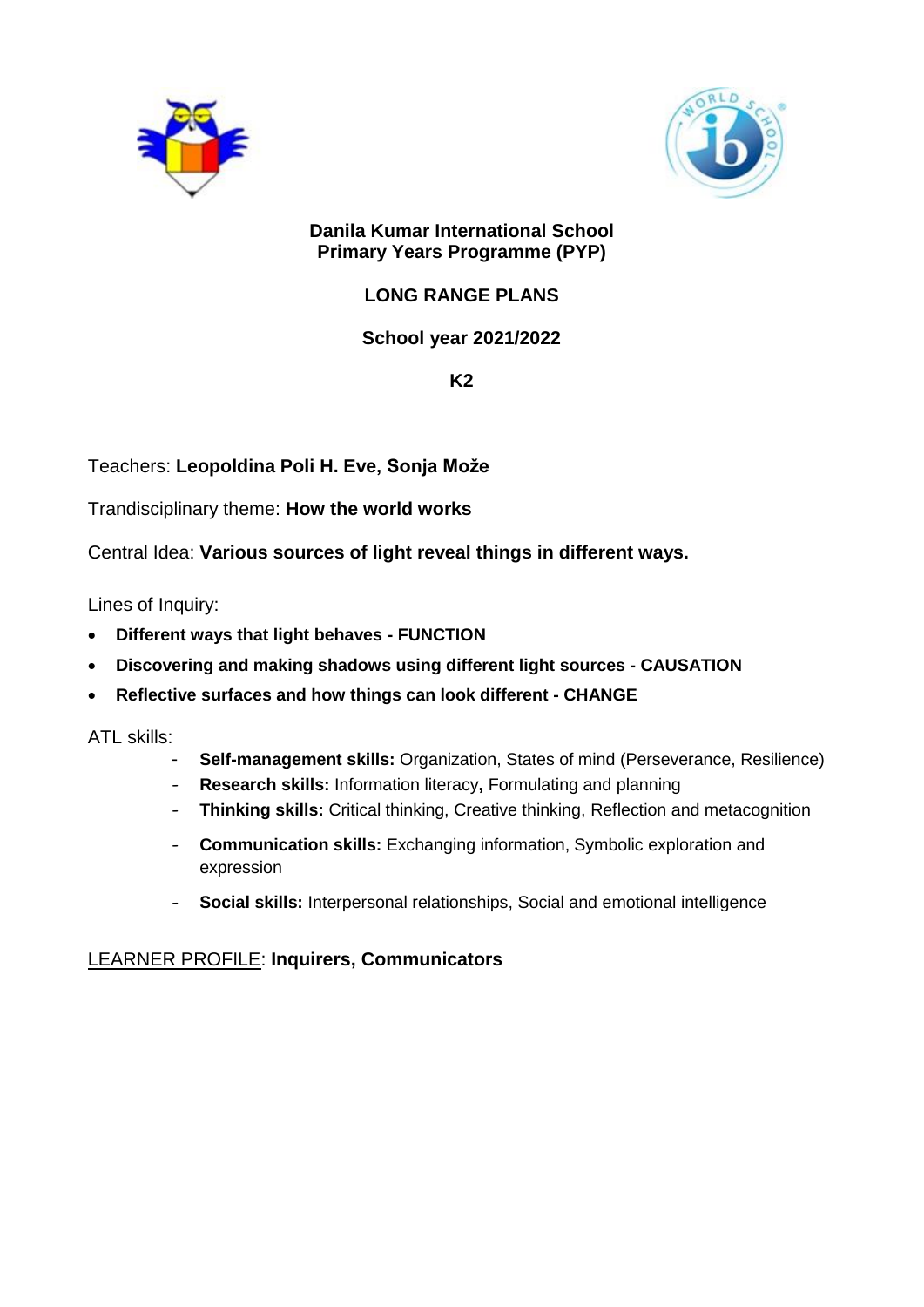



### **Danila Kumar International School Primary Years Programme (PYP)**

# **LONG RANGE PLANS**

# **School year 2021/2022**

**K2**

Teachers: **Leopoldina Poli H. Eve, Sonja Može**

Trandisciplinary theme: **How the world works**

Central Idea: **Various sources of light reveal things in different ways.**

Lines of Inquiry:

- **Different ways that light behaves - FUNCTION**
- **Discovering and making shadows using different light sources - CAUSATION**
- **Reflective surfaces and how things can look different - CHANGE**

ATL skills:

- **Self-management skills:** Organization, States of mind (Perseverance, Resilience)
- **Research skills:** Information literacy**,** Formulating and planning
- **Thinking skills:** Critical thinking, Creative thinking, Reflection and metacognition
- **Communication skills:** Exchanging information, Symbolic exploration and expression
- **Social skills:** Interpersonal relationships, Social and emotional intelligence

## LEARNER PROFILE: **Inquirers, Communicators**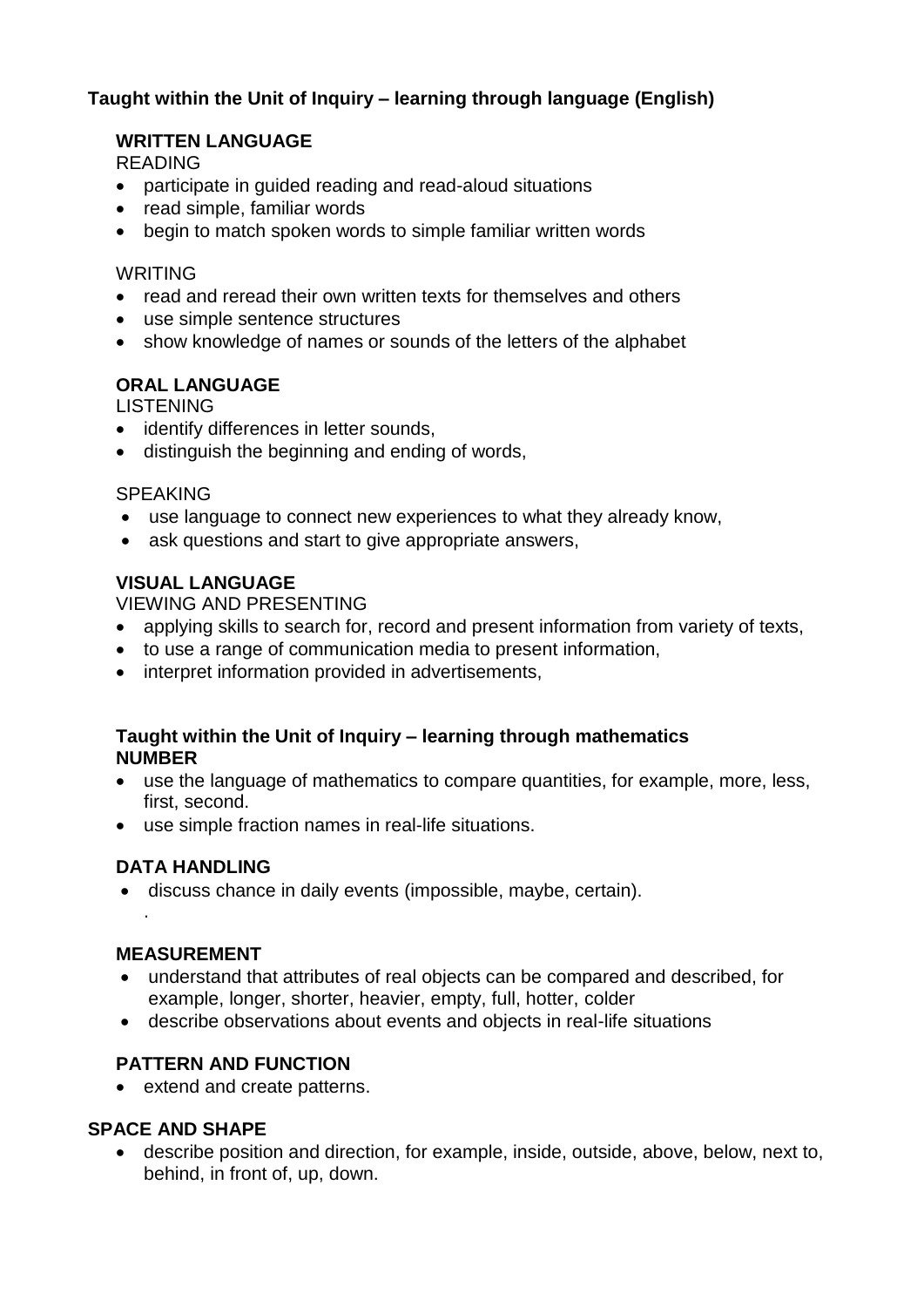## **Taught within the Unit of Inquiry – learning through language (English)**

### **WRITTEN LANGUAGE**

READING

- participate in guided reading and read-aloud situations
- read simple, familiar words
- begin to match spoken words to simple familiar written words

#### WRITING

- read and reread their own written texts for themselves and others
- use simple sentence structures
- show knowledge of names or sounds of the letters of the alphabet

## **ORAL LANGUAGE**

LISTENING

- identify differences in letter sounds,
- distinguish the beginning and ending of words,

### **SPEAKING**

- use language to connect new experiences to what they already know,
- ask questions and start to give appropriate answers,

## **VISUAL LANGUAGE**

VIEWING AND PRESENTING

- applying skills to search for, record and present information from variety of texts,
- to use a range of communication media to present information,
- interpret information provided in advertisements,

### **Taught within the Unit of Inquiry – learning through mathematics NUMBER**

- use the language of mathematics to compare quantities, for example, more, less, first, second.
- use simple fraction names in real-life situations.

## **DATA HANDLING**

discuss chance in daily events (impossible, maybe, certain).

### **MEASUREMENT**

.

- understand that attributes of real objects can be compared and described, for example, longer, shorter, heavier, empty, full, hotter, colder
- describe observations about events and objects in real-life situations

## **PATTERN AND FUNCTION**

• extend and create patterns.

### **SPACE AND SHAPE**

 describe position and direction, for example, inside, outside, above, below, next to, behind, in front of, up, down.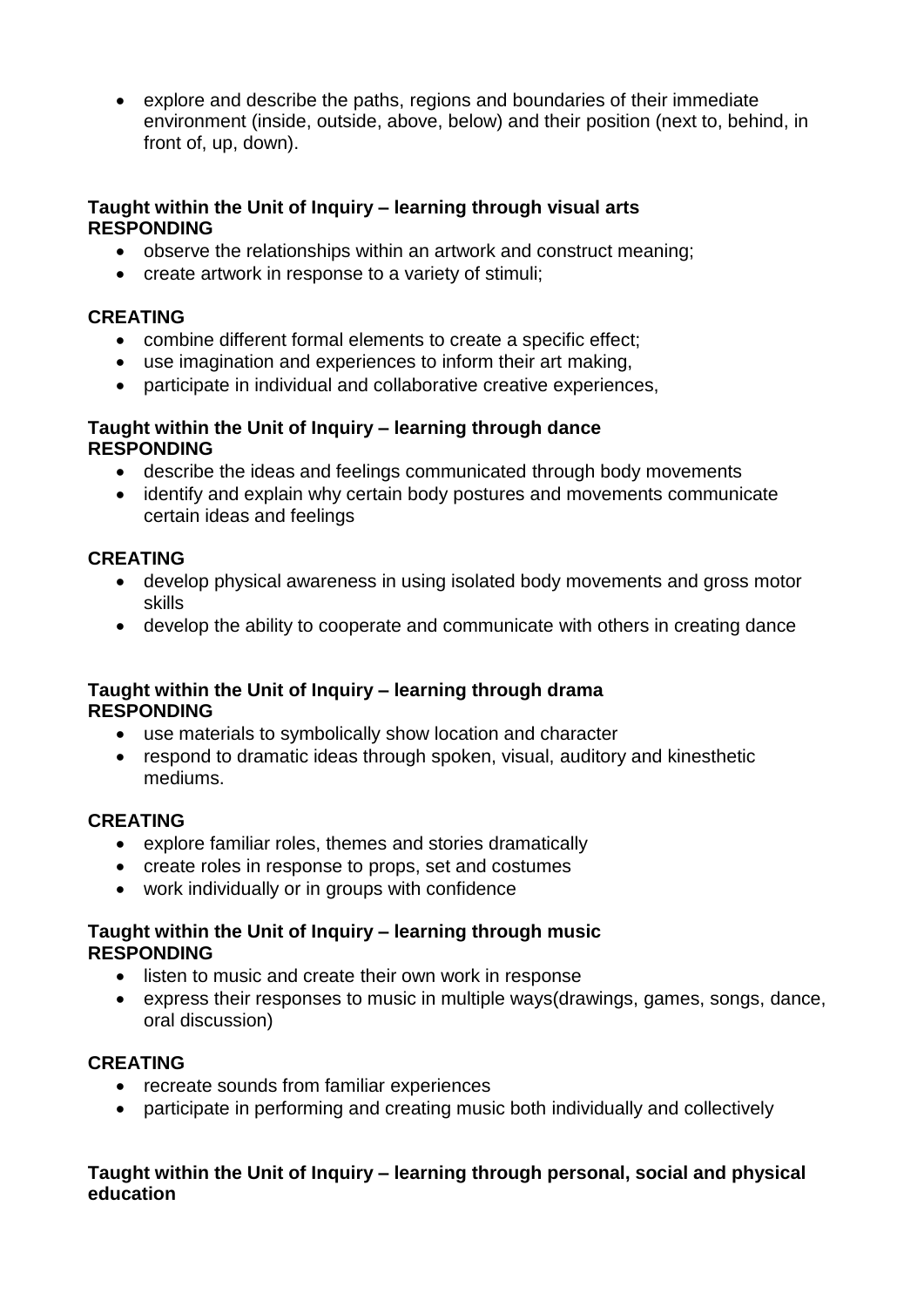explore and describe the paths, regions and boundaries of their immediate environment (inside, outside, above, below) and their position (next to, behind, in front of, up, down).

### **Taught within the Unit of Inquiry – learning through visual arts RESPONDING**

- observe the relationships within an artwork and construct meaning;
- create artwork in response to a variety of stimuli;

### **CREATING**

- combine different formal elements to create a specific effect;
- use imagination and experiences to inform their art making,
- participate in individual and collaborative creative experiences,

#### **Taught within the Unit of Inquiry – learning through dance RESPONDING**

- describe the ideas and feelings communicated through body movements
- identify and explain why certain body postures and movements communicate certain ideas and feelings

## **CREATING**

- develop physical awareness in using isolated body movements and gross motor skills
- develop the ability to cooperate and communicate with others in creating dance

### **Taught within the Unit of Inquiry – learning through drama RESPONDING**

- use materials to symbolically show location and character
- respond to dramatic ideas through spoken, visual, auditory and kinesthetic mediums.

## **CREATING**

- explore familiar roles, themes and stories dramatically
- create roles in response to props, set and costumes
- work individually or in groups with confidence

### **Taught within the Unit of Inquiry – learning through music RESPONDING**

- listen to music and create their own work in response
- express their responses to music in multiple ways(drawings, games, songs, dance, oral discussion)

## **CREATING**

- recreate sounds from familiar experiences
- participate in performing and creating music both individually and collectively

### **Taught within the Unit of Inquiry – learning through personal, social and physical education**